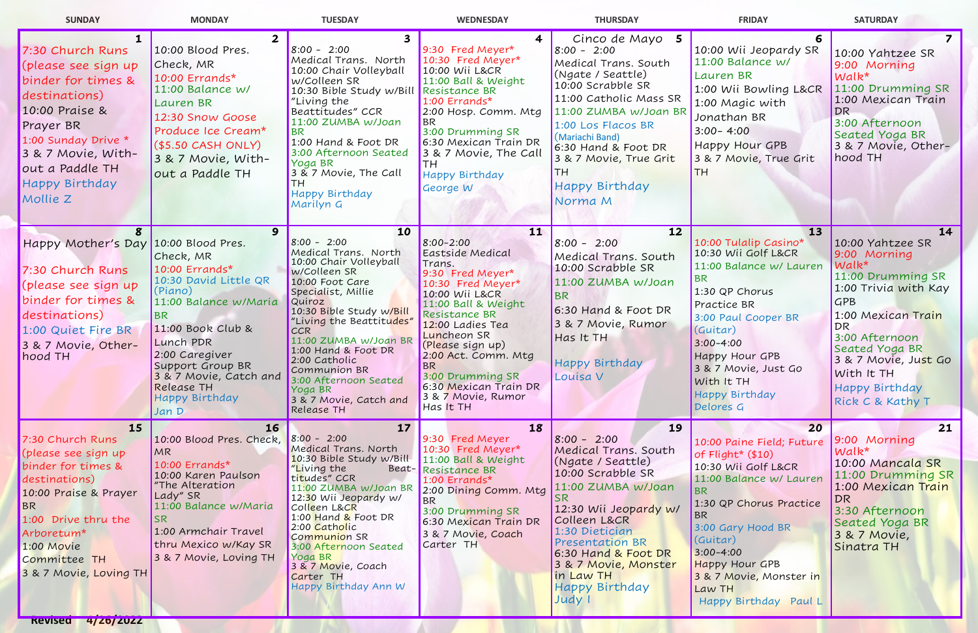| <b>SUNDAY</b>                                                                                                                                                                                                           | <b>MONDAY</b>                                                                                                                                                                                                                                         | <b>TUESDAY</b>                                                                                                                                                                                                                                                                                                                                                                     | <b>WEDNESDAY</b>                                                                                                                                                                                                                                                                                                         | <b>THURSDAY</b>                                                                                                                                                                                                                                                                                  | <b>FRIDAY</b>                                                                                                                                                                                                                                                                          | <b>SATURDAY</b>                                                                                                                                                                                                                                                            |
|-------------------------------------------------------------------------------------------------------------------------------------------------------------------------------------------------------------------------|-------------------------------------------------------------------------------------------------------------------------------------------------------------------------------------------------------------------------------------------------------|------------------------------------------------------------------------------------------------------------------------------------------------------------------------------------------------------------------------------------------------------------------------------------------------------------------------------------------------------------------------------------|--------------------------------------------------------------------------------------------------------------------------------------------------------------------------------------------------------------------------------------------------------------------------------------------------------------------------|--------------------------------------------------------------------------------------------------------------------------------------------------------------------------------------------------------------------------------------------------------------------------------------------------|----------------------------------------------------------------------------------------------------------------------------------------------------------------------------------------------------------------------------------------------------------------------------------------|----------------------------------------------------------------------------------------------------------------------------------------------------------------------------------------------------------------------------------------------------------------------------|
| 7:30 Church Runs<br>(please see sign up<br>binder for times &<br>destinations)<br>10:00 Praise &<br><b>Prayer BR</b><br>1:00 Sunday Drive *<br>3 & 7 Movie, With-<br>out a Paddle TH<br>Happy Birthday<br>Mollie Z      | 10:00 Blood Pres.<br>Check, MR<br>10:00 Errands*<br>11:00 Balance w/<br><b>Lauren BR</b><br>12:30 Snow Goose<br>Produce Ice Cream*<br>(S5.50 CASH ONLY)<br>3 & 7 Movie, With-<br>out a Paddle TH                                                      | $8:00 - 2:00$<br>Medical Trans. North<br>10:00 Chair Volleyball<br>w/Colleen SR<br>10:30 Bible Study w/Bill<br>"Living the<br>Beattitudes" CCR<br>11:00 ZUMBA w/Joan<br><b>BR</b><br>1:00 Hand & Foot DR<br>3:00 Afternoon Seated<br>Yoga BR<br>3 & 7 Movie, The Call<br>Happy Birthday<br>Marilyn G                                                                               | $\overline{\mathbf{4}}$<br>9:30 Fred Meyer*<br>10:30 Fred Meyer*<br>10:00 Wii L&CR<br>11:00 Ball & Weight<br>Resistance BR<br>1:00 Errands*<br>2:00 Hosp. Comm. Mtg<br><b>BR</b><br>3:00 Drumming SR<br>6:30 Mexican Train DR<br>3 & 7 Movie, The Call<br><b>TH</b><br><b>Happy Birthday</b><br>George W                 | Cinco de Mayo 5<br>$8:00 - 2:00$<br>Medical Trans. South<br>(Ngate / Seattle)<br>10:00 Scrabble SR<br>11:00 Catholic Mass SR<br>11:00 ZUMBA w/Joan BR<br>1:00 Los Flacos BR<br>(Mariachi Band)<br>6:30 Hand & Foot DR<br>3 & 7 Movie, True Grit<br><b>Happy Birthday</b><br>Norma M              | 10:00 Wii Jeopardy SR<br>11:00 Balance w/<br>Lauren BR<br>1:00 Wii Bowling L&CR<br>1:00 Magic with<br>Jonathan BR<br>$3:00 - 4:00$<br>Happy Hour GPB<br>3 & 7 Movie, True Grit                                                                                                         | 10:00 Yahtzee SR<br>9:00 Morning<br>$Walk^*$<br>11:00 Drumming SR<br>1:00 Mexican Train<br>DR<br>3:00 Afternoon<br>Seated Yoga BR<br>3 & 7 Movie, Other-<br>hood TH                                                                                                        |
| Happy Mother's Day 10:00 Blood Pres.<br>7:30 Church Runs<br>(please see sign up<br>binder for times &<br>destinations)<br>1:00 Quiet Fire BR<br>3 & 7 Movie, Other-<br>hood TH                                          | 9<br>Check, MR<br>10:00 Errands*<br>10:30 David Little QR<br>(Piano)<br>11:00 Balance w/Maria<br><b>BR</b><br>11:00 Book Club &<br>Lunch PDR<br>2:00 Caregiver<br>Support Group BR<br>3 & 7 Movie, Catch and<br>Release TH<br>Happy Birthday<br>Jan D | 10<br>$8:00 - 2:00$<br>Medical Trans. North<br>10:00 Chair Volleyball<br>w/Colleen SR<br>10:00 Foot Care<br>Specialist, Millie<br><b>Quiroz</b><br>10:30 Bible Study w/Bill<br>"Living the Beattitudes"<br><b>CCR</b><br>11:00 ZUMBA w/Joan BR<br>1:00 Hand & Foot DR<br>2:00 Catholic<br>Communion BR<br>3:00 Afternoon Seated<br>Yoga BR<br>3 & 7 Movie, Catch and<br>Release TH | 11<br>$8:00 - 2:00$<br>Eastside Medical<br>Trans.<br>9:30 Fred Meyer*<br>10:30 Fred Meyer*<br>10:00 Wii L&CR<br>11:00 Ball & Weight<br>Resistance BR<br>12:00 Ladies Tea<br>Luncheon SR<br>(Please sign up)<br>2:00 Act. Comm. Mtg<br>BR<br>3:00 Drumming SR<br>6:30 Mexican Train DR<br>3 & 7 Movie, Rumor<br>Has It TH | 12<br>$8:00 - 2:00$<br>Medical Trans. South<br>10:00 Scrabble SR<br>11:00 ZUMBA w/Joan<br><b>BR</b><br>6:30 Hand & Foot DR<br>3 & 7 Movie, Rumor<br>Has It TH<br><b>Happy Birthday</b><br>Louisa V                                                                                               | 13<br>10:00 Tulalip Casino*<br>10:30 Wii Golf L&CR<br>11:00 Balance w/ Lauren<br><b>BR</b><br>1:30 QP Chorus<br>Practice BR<br>3:00 Paul Cooper BR<br>(Guitar)<br>$3:00 - 4:00$<br>Happy Hour GPB<br>3 & 7 Movie, Just Go<br>With It TH<br>Happy Birthday<br>Delores G                 | 14<br>10:00 Yahtzee SR<br>9:00 Morning<br>$Walk*$<br>11:00 Drumming SR<br>1:00 Trivia with Kay<br><b>GPB</b><br>1:00 Mexican Train<br>DR<br>3:00 Afternoon<br>Seated Yoga BR<br>3 & 7 Movie, Just Go<br>With It TH<br><b>Happy Birthday</b><br><b>Rick C &amp; Kathy T</b> |
| <b>15</b><br>7:30 Church Runs<br>(please see sign up<br>binder for times &<br>destinations)<br>10:00 Praise & Prayer<br>BR<br>1:00 Drive thru the<br>Arboretum*<br>1:00 Movie<br>Committee TH<br>3 & 7 Movie, Loving TH | <b>16</b><br>10:00 Blood Pres. Check,<br>MR<br>10:00 Errands*<br>10:00 Karen Paulson<br>"The Alteration<br>Lady" SR<br>11:00 Balance w/Maria<br><b>SR</b><br>1:00 Armchair Travel<br>thru Mexico w/Kay SR<br>3 & 7 Movie, Loving TH                   | 17<br>$8:00 - 2:00$<br>Medical Trans. North<br>10:30 Bible Study w/Bill<br>"Living the<br>titudes" CCR<br>11:00 ZUMBA w/Joan BR<br>12:30 Wii Jeopardy w/<br>Colleen L&CR<br>1:00 Hand & Foot DR<br>2:00 Catholic<br>Communion SR<br>3:00 Afternoon Seated<br>Yoga BR<br>3 & 7 Movie, Coach<br>Carter TH<br>Happy Birthday Ann W                                                    | 18<br>9:30 Fred Meyer<br>10:30 Fred Meyer*<br>$11:00$ Ball & Weight<br>Beat-Resistance BR<br>$1:00$ Errands*<br>2:00 Dining Comm. Mtg<br><b>BR</b><br>3:00 Drumming SR<br>6:30 Mexican Train DR<br>3 & 7 Movie, Coach<br>Carter TH                                                                                       | 19<br>$8:00 - 2:00$<br>Medical Trans. South<br>(Ngate / Seattle)<br>10:00 Scrabble SR<br>11:00 ZUMBA w/Joan<br>ISR.<br>12:30 Wii Jeopardy w/<br>Colleen L&CR<br>1:30 Dietician<br><b>Presentation BR</b><br>6:30 Hand & Foot DR<br>3 & 7 Movie, Monster<br>in Law TH<br>Happy Birthday<br>Judy I | 20<br>10:00 Paine Field; Future<br>of Flight* (\$10)<br>10:30 Wii Golf L&CR<br>11:00 Balance w/ Lauren<br><b>BR</b><br>1:30 QP Chorus Practice<br>BR<br>3:00 Gary Hood BR<br>(Guitar)<br>$3:00 - 4:00$<br>Happy Hour GPB<br>3 & 7 Movie, Monster in<br>Law TH<br>Happy Birthday Paul L | 21<br>9:00 Morning<br>$Walk^{\star}$<br>10:00 Mancala SR<br>11:00 Drumming SR<br>1:00 Mexican Train<br>DR<br>3:30 Afternoon<br>Seated Yoga BR<br>3 & 7 Movie,<br>Sinatra TH                                                                                                |